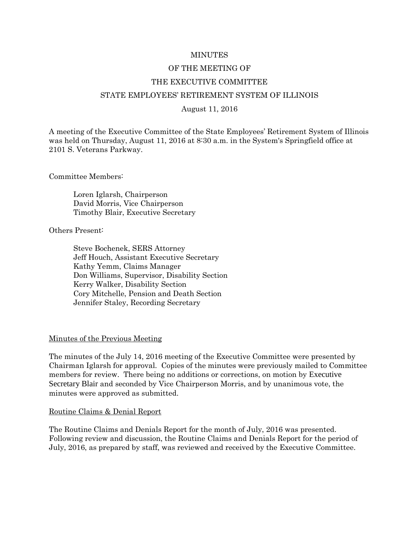### MINUTES

# OF THE MEETING OF

### THE EXECUTIVE COMMITTEE

### STATE EMPLOYEES' RETIREMENT SYSTEM OF ILLINOIS

#### August 11, 2016

A meeting of the Executive Committee of the State Employees' Retirement System of Illinois was held on Thursday, August 11, 2016 at 8:30 a.m. in the System's Springfield office at 2101 S. Veterans Parkway.

Committee Members:

Loren Iglarsh, Chairperson David Morris, Vice Chairperson Timothy Blair, Executive Secretary

Others Present:

Steve Bochenek, SERS Attorney Jeff Houch, Assistant Executive Secretary Kathy Yemm, Claims Manager Don Williams, Supervisor, Disability Section Kerry Walker, Disability Section Cory Mitchelle, Pension and Death Section Jennifer Staley, Recording Secretary

#### Minutes of the Previous Meeting

The minutes of the July 14, 2016 meeting of the Executive Committee were presented by Chairman Iglarsh for approval. Copies of the minutes were previously mailed to Committee members for review. There being no additions or corrections, on motion by Executive Secretary Blair and seconded by Vice Chairperson Morris, and by unanimous vote, the minutes were approved as submitted.

### Routine Claims & Denial Report

The Routine Claims and Denials Report for the month of July, 2016 was presented. Following review and discussion, the Routine Claims and Denials Report for the period of July, 2016, as prepared by staff, was reviewed and received by the Executive Committee.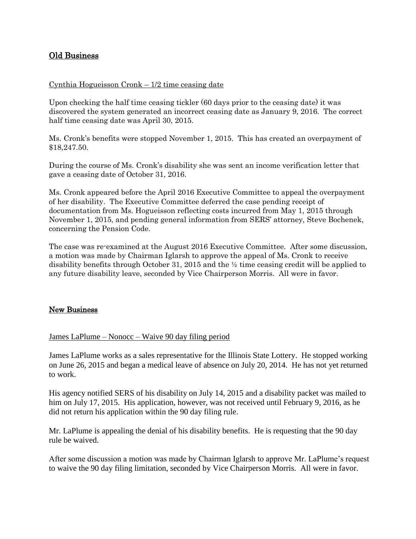# Old Business

### Cynthia Hogueisson Cronk – 1/2 time ceasing date

Upon checking the half time ceasing tickler (60 days prior to the ceasing date) it was discovered the system generated an incorrect ceasing date as January 9, 2016. The correct half time ceasing date was April 30, 2015.

Ms. Cronk's benefits were stopped November 1, 2015. This has created an overpayment of \$18,247.50.

During the course of Ms. Cronk's disability she was sent an income verification letter that gave a ceasing date of October 31, 2016.

Ms. Cronk appeared before the April 2016 Executive Committee to appeal the overpayment of her disability. The Executive Committee deferred the case pending receipt of documentation from Ms. Hogueisson reflecting costs incurred from May 1, 2015 through November 1, 2015, and pending general information from SERS' attorney, Steve Bochenek, concerning the Pension Code.

The case was re-examined at the August 2016 Executive Committee. After some discussion, a motion was made by Chairman Iglarsh to approve the appeal of Ms. Cronk to receive disability benefits through October 31, 2015 and the ½ time ceasing credit will be applied to any future disability leave, seconded by Vice Chairperson Morris. All were in favor.

### New Business

### James LaPlume – Nonocc – Waive 90 day filing period

James LaPlume works as a sales representative for the Illinois State Lottery. He stopped working on June 26, 2015 and began a medical leave of absence on July 20, 2014. He has not yet returned to work.

His agency notified SERS of his disability on July 14, 2015 and a disability packet was mailed to him on July 17, 2015. His application, however, was not received until February 9, 2016, as he did not return his application within the 90 day filing rule.

Mr. LaPlume is appealing the denial of his disability benefits. He is requesting that the 90 day rule be waived.

After some discussion a motion was made by Chairman Iglarsh to approve Mr. LaPlume's request to waive the 90 day filing limitation, seconded by Vice Chairperson Morris. All were in favor.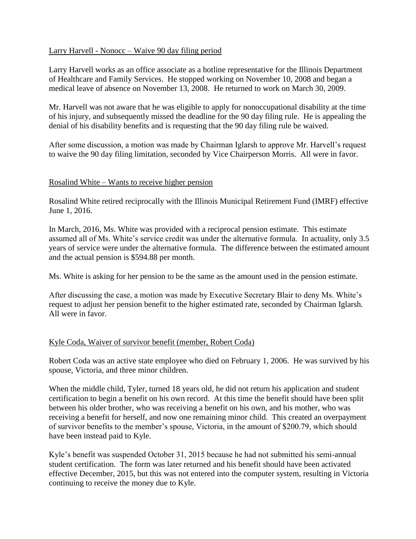## Larry Harvell - Nonocc – Waive 90 day filing period

Larry Harvell works as an office associate as a hotline representative for the Illinois Department of Healthcare and Family Services. He stopped working on November 10, 2008 and began a medical leave of absence on November 13, 2008. He returned to work on March 30, 2009.

Mr. Harvell was not aware that he was eligible to apply for nonoccupational disability at the time of his injury, and subsequently missed the deadline for the 90 day filing rule. He is appealing the denial of his disability benefits and is requesting that the 90 day filing rule be waived.

After some discussion, a motion was made by Chairman Iglarsh to approve Mr. Harvell's request to waive the 90 day filing limitation, seconded by Vice Chairperson Morris. All were in favor.

# Rosalind White – Wants to receive higher pension

Rosalind White retired reciprocally with the Illinois Municipal Retirement Fund (IMRF) effective June 1, 2016.

In March, 2016, Ms. White was provided with a reciprocal pension estimate. This estimate assumed all of Ms. White's service credit was under the alternative formula. In actuality, only 3.5 years of service were under the alternative formula. The difference between the estimated amount and the actual pension is \$594.88 per month.

Ms. White is asking for her pension to be the same as the amount used in the pension estimate.

After discussing the case, a motion was made by Executive Secretary Blair to deny Ms. White's request to adjust her pension benefit to the higher estimated rate, seconded by Chairman Iglarsh. All were in favor.

# Kyle Coda, Waiver of survivor benefit (member, Robert Coda)

Robert Coda was an active state employee who died on February 1, 2006. He was survived by his spouse, Victoria, and three minor children.

When the middle child, Tyler, turned 18 years old, he did not return his application and student certification to begin a benefit on his own record. At this time the benefit should have been split between his older brother, who was receiving a benefit on his own, and his mother, who was receiving a benefit for herself, and now one remaining minor child. This created an overpayment of survivor benefits to the member's spouse, Victoria, in the amount of \$200.79, which should have been instead paid to Kyle.

Kyle's benefit was suspended October 31, 2015 because he had not submitted his semi-annual student certification. The form was later returned and his benefit should have been activated effective December, 2015, but this was not entered into the computer system, resulting in Victoria continuing to receive the money due to Kyle.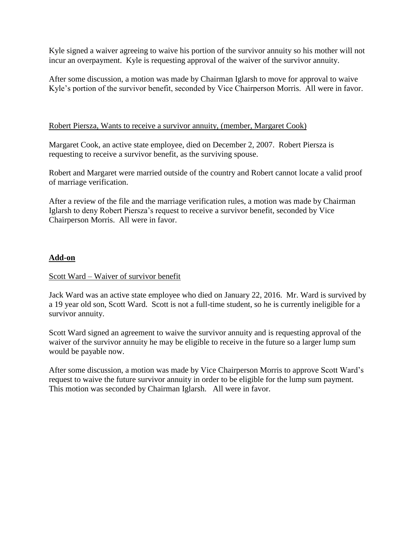Kyle signed a waiver agreeing to waive his portion of the survivor annuity so his mother will not incur an overpayment. Kyle is requesting approval of the waiver of the survivor annuity.

After some discussion, a motion was made by Chairman Iglarsh to move for approval to waive Kyle's portion of the survivor benefit, seconded by Vice Chairperson Morris. All were in favor.

# Robert Piersza, Wants to receive a survivor annuity, (member, Margaret Cook)

Margaret Cook, an active state employee, died on December 2, 2007. Robert Piersza is requesting to receive a survivor benefit, as the surviving spouse.

Robert and Margaret were married outside of the country and Robert cannot locate a valid proof of marriage verification.

After a review of the file and the marriage verification rules, a motion was made by Chairman Iglarsh to deny Robert Piersza's request to receive a survivor benefit, seconded by Vice Chairperson Morris. All were in favor.

# **Add-on**

### Scott Ward – Waiver of survivor benefit

Jack Ward was an active state employee who died on January 22, 2016. Mr. Ward is survived by a 19 year old son, Scott Ward. Scott is not a full-time student, so he is currently ineligible for a survivor annuity.

Scott Ward signed an agreement to waive the survivor annuity and is requesting approval of the waiver of the survivor annuity he may be eligible to receive in the future so a larger lump sum would be payable now.

After some discussion, a motion was made by Vice Chairperson Morris to approve Scott Ward's request to waive the future survivor annuity in order to be eligible for the lump sum payment. This motion was seconded by Chairman Iglarsh. All were in favor.